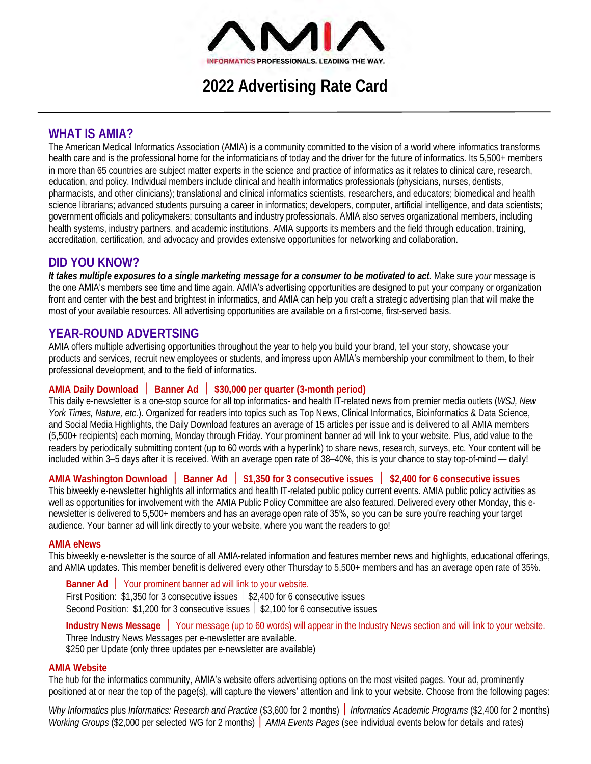

**2022 Advertising Rate Card**

## **WHAT IS AMIA?**

The American Medical Informatics Association (AMIA) is a community committed to the vision of a world where informatics transforms health care and is the professional home for the informaticians of today and the driver for the future of informatics. Its 5,500+ members in more than 65 countries are subject matter experts in the science and practice of informatics as it relates to clinical care, research, education, and policy. Individual members include clinical and health informatics professionals (physicians, nurses, dentists, pharmacists, and other clinicians); translational and clinical informatics scientists, researchers, and educators; biomedical and health science librarians; advanced students pursuing a career in informatics; developers, computer, artificial intelligence, and data scientists; government officials and policymakers; consultants and industry professionals. AMIA also serves organizational members, including health systems, industry partners, and academic institutions. AMIA supports its members and the field through education, training, accreditation, certification, and advocacy and provides extensive opportunities for networking and collaboration.

# **DID YOU KNOW?**

*It takes multiple exposures to a single marketing message for a consumer to be motivated to act.* Make sure *your* message is the one AMIA's members see time and time again. AMIA's advertising opportunities are designed to put your company or organization front and center with the best and brightest in informatics, and AMIA can help you craft a strategic advertising plan that will make the most of your available resources. All advertising opportunities are available on a first-come, first-served basis.

# **YEAR-ROUND ADVERTSING**

AMIA offers multiple advertising opportunities throughout the year to help you build your brand, tell your story, showcase your products and services, recruit new employees or students, and impress upon AMIA's membership your commitment to them, to their professional development, and to the field of informatics.

## **AMIA Daily Download Banner Ad \$30,000 per quarter (3-month period)**

This daily e-newsletter is a one-stop source for all top informatics- and health IT-related news from premier media outlets (*WSJ, New York Times, Nature, etc.*). Organized for readers into topics such as Top News, Clinical Informatics, Bioinformatics & Data Science, and Social Media Highlights, the Daily Download features an average of 15 articles per issue and is delivered to all AMIA members (5,500+ recipients) each morning, Monday through Friday. Your prominent banner ad will link to your website. Plus, add value to the readers by periodically submitting content (up to 60 words with a hyperlink) to share news, research, surveys, etc. Your content will be included within 3–5 days after it is received. With an average open rate of 38–40%, this is your chance to stay top-of-mind — daily!

## **AMIA Washington Download Banner Ad \$1,350 for 3 consecutive issues \$2,400 for 6 consecutive issues**

This biweekly e-newsletter highlights all informatics and health IT-related public policy current events. AMIA public policy activities as well as opportunities for involvement with the AMIA Public Policy Committee are also featured. Delivered every other Monday, this enewsletter is delivered to 5,500+ members and has an average open rate of 35%, so you can be sure you're reaching your target audience. Your banner ad will link directly to your website, where you want the readers to go!

## **AMIA eNews**

This biweekly e-newsletter is the source of all AMIA-related information and features member news and highlights, educational offerings, and AMIA updates. This member benefit is delivered every other Thursday to 5,500+ members and has an average open rate of 35%.

**Banner Ad** Your prominent banner ad will link to your website. First Position: \$1,350 for 3 consecutive issues  $\frac{1}{2}$  \$2,400 for 6 consecutive issues Second Position:  $$1,200$  for 3 consecutive issues  $\frac{1}{2}$ ,100 for 6 consecutive issues

**Industry News Message** Your message (up to 60 words) will appear in the Industry News section and will link to your website. Three Industry News Messages per e-newsletter are available. \$250 per Update (only three updates per e-newsletter are available)

## **AMIA Website**

The hub for the informatics community, **AMIA's** website offers advertising options on the most visited pages. Your ad, prominently positioned at or near the top of the page(s), will capture the viewers' attention and link to your website. Choose from the following pages:

*Why Informatics* plus *Informatics: Research and Practice* (\$3,600 for 2 months) *Informatics Academic Programs* (\$2,400 for 2 months) *Working Groups* (\$2,000 per selected WG for 2 months) *AMIA Events Pages* (see individual events below for details and rates)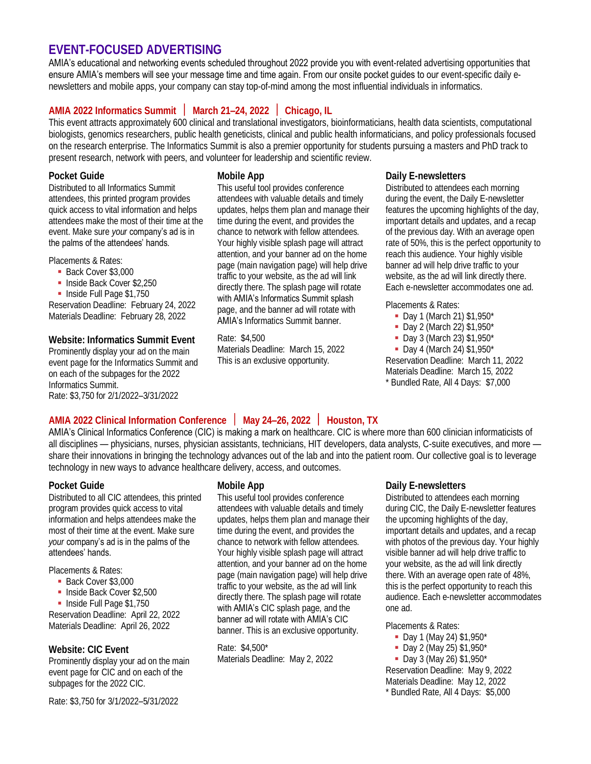## **EVENT-FOCUSED ADVERTISING**

AMIA's educational and networking events scheduled throughout 2022 provide you with event-related advertising opportunities that ensure AMIA's members will see your message time and time again. From our onsite pocket guides to our event-specific daily enewsletters and mobile apps, your company can stay top-of-mind among the most influential individuals in informatics.

# **AMIA 2022 Informatics Summit March 21–24, 2022 Chicago, IL**

This event attracts approximately 600 clinical and translational investigators, bioinformaticians, health data scientists, computational biologists, genomics researchers, public health geneticists, clinical and public health informaticians, and policy professionals focused on the research enterprise. The Informatics Summit is also a premier opportunity for students pursuing a masters and PhD track to present research, network with peers, and volunteer for leadership and scientific review.

## **Pocket Guide**

Distributed to all Informatics Summit attendees, this printed program provides quick access to vital information and helps attendees make the most of their time at the event. Make sure *your* company's ad is in the palms of the attendees' hands.

Placements & Rates:

- Back Cover \$3,000
- **· Inside Back Cover \$2,250**
- **· Inside Full Page \$1,750**

Reservation Deadline: February 24, 2022 Materials Deadline: February 28, 2022

**Website: Informatics Summit Event**  Prominently display your ad on the main event page for the Informatics Summit and on each of the subpages for the 2022 Informatics Summit. Rate: \$3,750 for 2/1/2022–3/31/2022

### **Mobile App**

This useful tool provides conference attendees with valuable details and timely updates, helps them plan and manage their time during the event, and provides the chance to network with fellow attendees. Your highly visible splash page will attract attention, and your banner ad on the home page (main navigation page) will help drive traffic to your website, as the ad will link directly there. The splash page will rotate with AMIA's Informatics Summit splash page, and the banner ad will rotate with AMIA's Informatics Summit banner.

Rate: \$4,500 Materials Deadline: March 15, 2022 This is an exclusive opportunity.

### **Daily E-newsletters**

Distributed to attendees each morning during the event, the Daily E-newsletter features the upcoming highlights of the day, important details and updates, and a recap of the previous day. With an average open rate of 50%, this is the perfect opportunity to reach this audience. Your highly visible banner ad will help drive traffic to your website, as the ad will link directly there. Each e-newsletter accommodates one ad.

#### Placements & Rates:

- Day 1 (March 21) \$1,950\*
- Day 2 (March 22) \$1,950\*
- Day 3 (March 23) \$1,950\*
- Day 4 (March 24) \$1,950\*

Reservation Deadline: March 11, 2022 Materials Deadline: March 15, 2022 \* Bundled Rate, All 4 Days: \$7,000

# **AMIA 2022 Clinical Information Conference May 24–26, 2022 Houston, TX**

AMIA's Clinical Informatics Conference (CIC) is making a mark on healthcare. CIC is where more than 600 clinician informaticists of all disciplines — physicians, nurses, physician assistants, technicians, HIT developers, data analysts, C-suite executives, and more share their innovations in bringing the technology advances out of the lab and into the patient room. Our collective goal is to leverage technology in new ways to advance healthcare delivery, access, and outcomes.

## **Pocket Guide**

Distributed to all CIC attendees, this printed program provides quick access to vital information and helps attendees make the most of their time at the event. Make sure *your* company's ad is in the palms of the attendees' hands.

Placements & Rates:

- **Back Cover \$3,000**
- Inside Back Cover \$2,500
- **· Inside Full Page \$1,750**

Reservation Deadline: April 22, 2022 Materials Deadline: April 26, 2022

**Website: CIC Event**

Prominently display your ad on the main event page for CIC and on each of the subpages for the 2022 CIC.

Rate: \$3,750 for 3/1/2022–5/31/2022

#### **Mobile App**

This useful tool provides conference attendees with valuable details and timely updates, helps them plan and manage their time during the event, and provides the chance to network with fellow attendees. Your highly visible splash page will attract attention, and your banner ad on the home page (main navigation page) will help drive traffic to your website, as the ad will link directly there. The splash page will rotate with AMIA's CIC splash page, and the banner ad will rotate with AMIA's CIC banner. This is an exclusive opportunity.

Rate: \$4,500\* Materials Deadline: May 2, 2022

#### **Daily E-newsletters**

Distributed to attendees each morning during CIC, the Daily E-newsletter features the upcoming highlights of the day, important details and updates, and a recap with photos of the previous day. Your highly visible banner ad will help drive traffic to your website, as the ad will link directly there. With an average open rate of 48%, this is the perfect opportunity to reach this audience. Each e-newsletter accommodates one ad.

Placements & Rates:

- Day 1 (May 24) \$1,950\*
- Day 2 (May 25) \$1,950\*

▪ Day 3 (May 26) \$1,950\* Reservation Deadline: May 9, 2022 Materials Deadline: May 12, 2022 \* Bundled Rate, All 4 Days: \$5,000